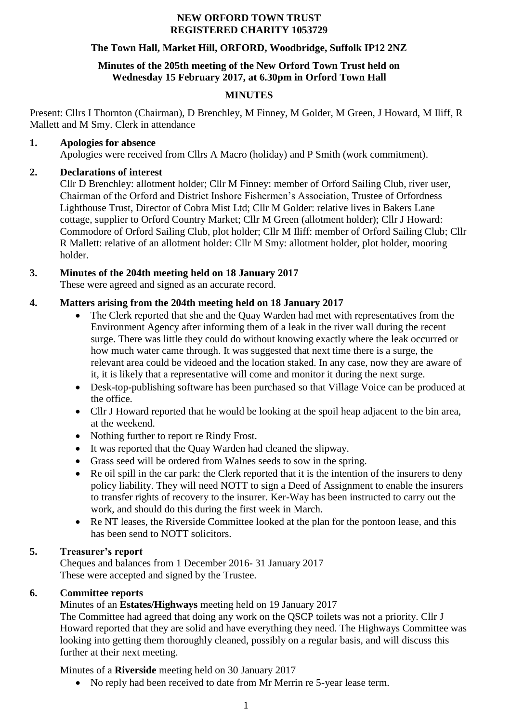#### **NEW ORFORD TOWN TRUST REGISTERED CHARITY 1053729**

### **The Town Hall, Market Hill, ORFORD, Woodbridge, Suffolk IP12 2NZ**

#### **Minutes of the 205th meeting of the New Orford Town Trust held on Wednesday 15 February 2017, at 6.30pm in Orford Town Hall**

## **MINUTES**

Present: Cllrs I Thornton (Chairman), D Brenchley, M Finney, M Golder, M Green, J Howard, M Iliff, R Mallett and M Smy. Clerk in attendance

#### **1. Apologies for absence**

Apologies were received from Cllrs A Macro (holiday) and P Smith (work commitment).

## **2. Declarations of interest**

Cllr D Brenchley: allotment holder; Cllr M Finney: member of Orford Sailing Club, river user, Chairman of the Orford and District Inshore Fishermen's Association, Trustee of Orfordness Lighthouse Trust, Director of Cobra Mist Ltd; Cllr M Golder: relative lives in Bakers Lane cottage, supplier to Orford Country Market; Cllr M Green (allotment holder); Cllr J Howard: Commodore of Orford Sailing Club, plot holder; Cllr M Iliff: member of Orford Sailing Club; Cllr R Mallett: relative of an allotment holder: Cllr M Smy: allotment holder, plot holder, mooring holder.

## **3. Minutes of the 204th meeting held on 18 January 2017**

These were agreed and signed as an accurate record.

## **4. Matters arising from the 204th meeting held on 18 January 2017**

- The Clerk reported that she and the Quay Warden had met with representatives from the Environment Agency after informing them of a leak in the river wall during the recent surge. There was little they could do without knowing exactly where the leak occurred or how much water came through. It was suggested that next time there is a surge, the relevant area could be videoed and the location staked. In any case, now they are aware of it, it is likely that a representative will come and monitor it during the next surge.
- Desk-top-publishing software has been purchased so that Village Voice can be produced at the office.
- Cllr J Howard reported that he would be looking at the spoil heap adjacent to the bin area, at the weekend.
- Nothing further to report re Rindy Frost.
- It was reported that the Quay Warden had cleaned the slipway.
- Grass seed will be ordered from Walnes seeds to sow in the spring.
- Re oil spill in the car park: the Clerk reported that it is the intention of the insurers to deny policy liability. They will need NOTT to sign a Deed of Assignment to enable the insurers to transfer rights of recovery to the insurer. Ker-Way has been instructed to carry out the work, and should do this during the first week in March.
- Re NT leases, the Riverside Committee looked at the plan for the pontoon lease, and this has been send to NOTT solicitors.

## **5. Treasurer's report**

Cheques and balances from 1 December 2016- 31 January 2017 These were accepted and signed by the Trustee.

## **6. Committee reports**

Minutes of an **Estates/Highways** meeting held on 19 January 2017

The Committee had agreed that doing any work on the QSCP toilets was not a priority. Cllr J Howard reported that they are solid and have everything they need. The Highways Committee was looking into getting them thoroughly cleaned, possibly on a regular basis, and will discuss this further at their next meeting.

Minutes of a **Riverside** meeting held on 30 January 2017

No reply had been received to date from Mr Merrin re 5-year lease term.